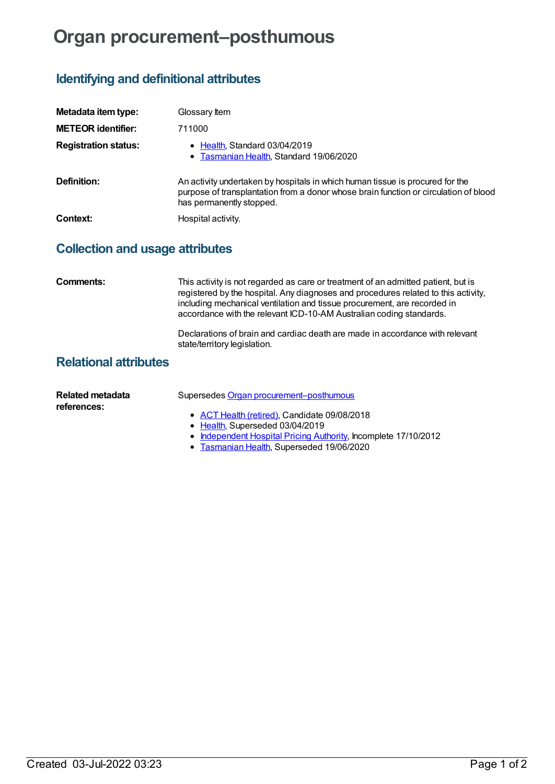## **Organ procurement–posthumous**

## **Identifying and definitional attributes**

| Metadata item type:         | Glossary Item                                                                                                                                                                                     |
|-----------------------------|---------------------------------------------------------------------------------------------------------------------------------------------------------------------------------------------------|
| <b>METEOR identifier:</b>   | 711000                                                                                                                                                                                            |
| <b>Registration status:</b> | • Health, Standard 03/04/2019<br>• Tasmanian Health, Standard 19/06/2020                                                                                                                          |
| Definition:                 | An activity undertaken by hospitals in which human tissue is procured for the<br>purpose of transplantation from a donor whose brain function or circulation of blood<br>has permanently stopped. |
| Context:                    | Hospital activity.                                                                                                                                                                                |

## **Collection and usage attributes**

| Comments:                              | This activity is not regarded as care or treatment of an admitted patient, but is<br>registered by the hospital. Any diagnoses and procedures related to this activity,<br>including mechanical ventilation and tissue procurement, are recorded in<br>accordance with the relevant ICD-10-AM Australian coding standards. |
|----------------------------------------|----------------------------------------------------------------------------------------------------------------------------------------------------------------------------------------------------------------------------------------------------------------------------------------------------------------------------|
|                                        | Declarations of brain and cardiac death are made in accordance with relevant<br>state/territory legislation.                                                                                                                                                                                                               |
| <b>Relational attributes</b>           |                                                                                                                                                                                                                                                                                                                            |
| <b>Related metadata</b><br>references: | Supersedes Organ procurement-posthumous<br>• ACT Health (retired), Candidate 09/08/2018<br>• Health, Superseded 03/04/2019<br>• Independent Hospital Pricing Authority, Incomplete 17/10/2012                                                                                                                              |

**[Tasmanian](https://meteor.aihw.gov.au/RegistrationAuthority/15) Health, Superseded 19/06/2020**